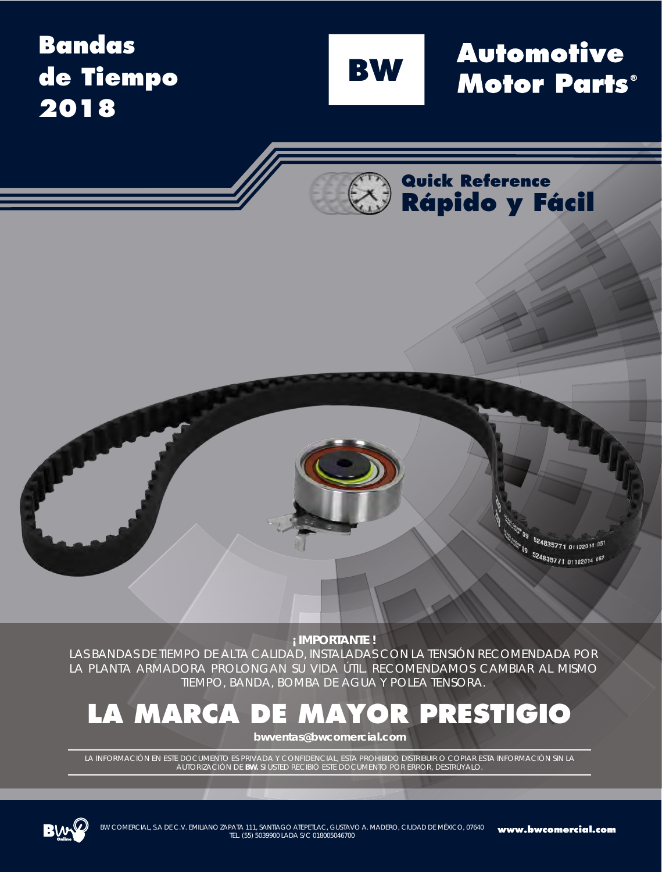### **Bandas de Tiempo 2018**

**BW** 

**Automotive Motor Parts**®

**Quick Reference Rápido y Fácil**

> 09 524835771 01102014 051 00 524835771 01102014 051

**¡ IMPORTANTE !** 

LAS BANDAS DE TIEMPO DE ALTA CALIDAD, INSTALADAS CON LA TENSIÓN RECOMENDADA POR LA PLANTA ARMADORA PROLONGAN SU VIDA ÚTIL. RECOMENDAMOS CAMBIAR AL MISMO TIEMPO, BANDA, BOMBA DE AGUA Y POLEA TENSORA.

### **LA MARCA DE MAYOR PRESTIGIO**

**bwventas@bwcomercial.com**

LA INFORMACIÓN EN ESTE DOCUMENTO ES PRIVADA Y CONFIDENCIAL, ESTA PROHIBIDO DISTRIBUIR O COPIAR ESTA INFORMACIÓN SIN LA<br>AUTORIZACIÓN DE BW. SI USTED RECIBIÓ ESTE DOCUMENTO POR ERROR, DESTRÚYALO. **BIÓ ESTE DOCUMENTO POR ERROR, DESTRÚYALO.** 



C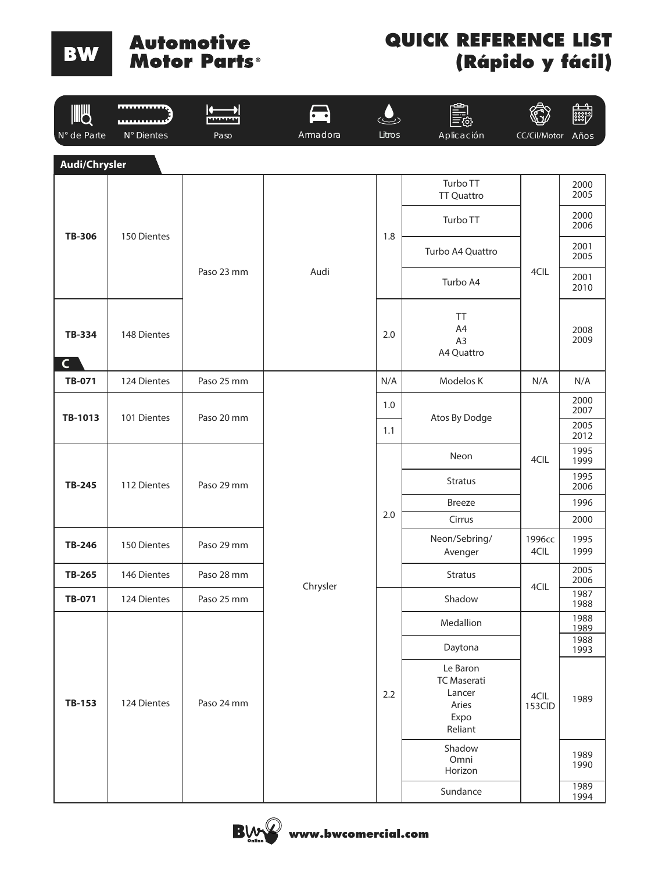#### **Automotive Motor Parts**

| <b>JUB</b><br>N° de Parte     | <b><i><u>BREERED BEERED</u></i></b><br>N° Dientes | n<br>MMMMM<br>Paso | Armadora         | Litros | Aplicación                                                           | CC/Cil/Motor   | <b>ESSEP</b><br>Años |
|-------------------------------|---------------------------------------------------|--------------------|------------------|--------|----------------------------------------------------------------------|----------------|----------------------|
| Audi/Chrysler                 |                                                   |                    |                  |        |                                                                      |                |                      |
|                               |                                                   |                    |                  |        | Turbo TT<br><b>TT Quattro</b>                                        |                | 2000<br>2005         |
|                               |                                                   |                    |                  |        | Turbo TT                                                             |                | 2000<br>2006         |
| <b>TB-306</b>                 | 150 Dientes                                       |                    |                  | 1.8    | Turbo A4 Quattro                                                     |                | 2001<br>2005         |
|                               |                                                   | Paso 23 mm         | Audi             |        | Turbo A4                                                             | 4CIL           | 2001<br>2010         |
| <b>TB-334</b><br>$\mathsf{C}$ | 148 Dientes                                       |                    |                  | 2.0    | <b>TT</b><br>A4<br>A <sub>3</sub><br>A4 Quattro                      |                | 2008<br>2009         |
| TB-071                        | 124 Dientes                                       | Paso 25 mm         | N/A<br>Modelos K | N/A    | N/A                                                                  |                |                      |
| TB-1013                       | 101 Dientes                                       | Paso 20 mm         |                  | 1.0    | Atos By Dodge                                                        |                | 2000<br>2007         |
|                               |                                                   |                    |                  | 1.1    |                                                                      |                | 2005<br>2012         |
|                               |                                                   |                    |                  |        | Neon                                                                 | 4CIL           | 1995<br>1999         |
| <b>TB-245</b>                 | 112 Dientes                                       | Paso 29 mm         |                  |        | <b>Stratus</b>                                                       |                | 1995<br>2006         |
|                               |                                                   |                    |                  |        | <b>Breeze</b>                                                        |                | 1996                 |
|                               |                                                   |                    |                  | 2.0    | Cirrus                                                               |                | 2000                 |
| TB-246                        | 150 Dientes                                       | Paso 29 mm         |                  |        | Neon/Sebring/<br>Avenger                                             | 1996сс<br>4CIL | 1995<br>1999         |
| TB-265                        | 146 Dientes                                       | Paso 28 mm         | Chrysler         |        | <b>Stratus</b>                                                       | 4CIL           | 2005<br>2006         |
| TB-071                        | 124 Dientes                                       | Paso 25 mm         |                  |        | Shadow                                                               |                | 1987<br>1988         |
|                               |                                                   |                    |                  |        | Medallion                                                            |                | 1988<br>1989         |
|                               |                                                   |                    |                  |        | Daytona                                                              |                | 1988<br>1993         |
| <b>TB-153</b>                 | 124 Dientes                                       | Paso 24 mm         |                  | 2.2    | Le Baron<br><b>TC Maserati</b><br>Lancer<br>Aries<br>Expo<br>Reliant | 4CIL<br>153CID | 1989                 |
|                               |                                                   |                    |                  |        | Shadow<br>Omni<br>Horizon                                            |                | 1989<br>1990         |
|                               |                                                   |                    |                  |        | Sundance                                                             |                | 1989<br>1994         |

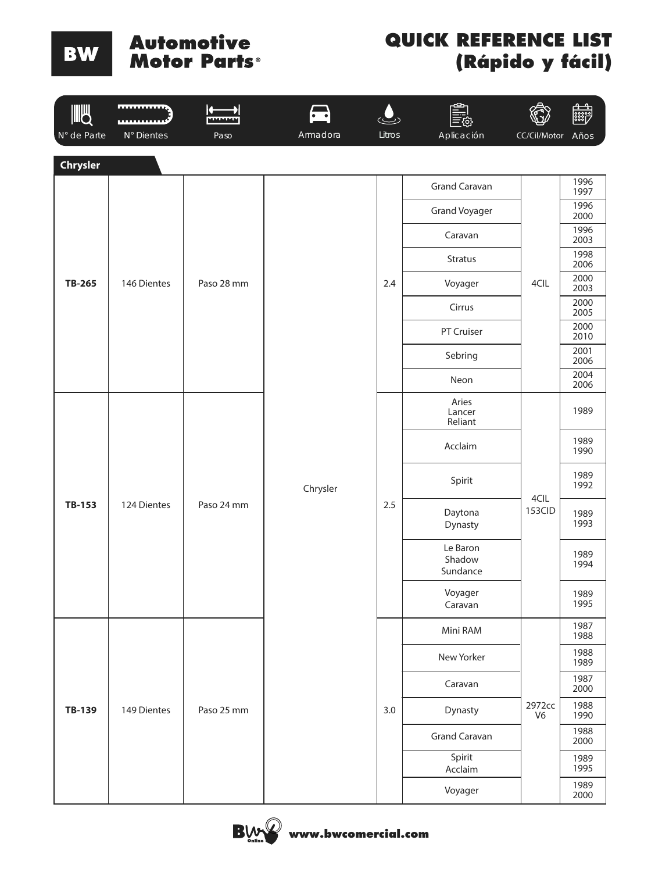#### **Automotive Motor Parts**

| <b>IIIU</b> | <b>mmuun</b> | L.<br><u>мылымы</u> | $\cdot$ . |        |                                |                          | <b>B</b>     |
|-------------|--------------|---------------------|-----------|--------|--------------------------------|--------------------------|--------------|
| N° de Parte | N° Dientes   | Paso                | Armadora  | Litros | Aplicación                     | CC/Cil/Motor             | Años         |
| Chrysler    |              |                     |           |        |                                |                          | 1996         |
|             |              |                     |           |        | Grand Caravan                  |                          | 1997<br>1996 |
|             |              |                     |           |        | Grand Voyager                  |                          | 2000         |
|             |              |                     |           |        | Caravan                        |                          | 1996<br>2003 |
|             |              |                     |           |        | <b>Stratus</b>                 |                          | 1998<br>2006 |
| TB-265      | 146 Dientes  | Paso 28 mm          |           | 2.4    | Voyager                        | 4CIL                     | 2000<br>2003 |
|             |              |                     |           |        | Cirrus                         |                          | 2000<br>2005 |
|             |              |                     |           |        | PT Cruiser                     |                          | 2000<br>2010 |
|             |              |                     |           |        | Sebring                        |                          | 2001<br>2006 |
|             |              |                     |           |        | Neon                           |                          | 2004<br>2006 |
|             |              |                     | Chrysler  | 2.5    | Aries<br>Lancer<br>Reliant     |                          | 1989         |
|             |              | Paso 24 mm          |           |        | Acclaim                        |                          | 1989<br>1990 |
|             |              |                     |           |        | Spirit                         | 4CIL                     | 1989<br>1992 |
| TB-153      | 124 Dientes  |                     |           |        | Daytona<br>Dynasty             | 153CID                   | 1989<br>1993 |
|             |              |                     |           |        | Le Baron<br>Shadow<br>Sundance |                          | 1989<br>1994 |
|             |              |                     |           |        | Voyager<br>Caravan             |                          | 1989<br>1995 |
|             |              |                     |           |        | Mini RAM                       |                          | 1987<br>1988 |
|             |              |                     |           |        | New Yorker                     |                          | 1988<br>1989 |
|             |              |                     |           |        | Caravan                        |                          | 1987<br>2000 |
| TB-139      | 149 Dientes  | Paso 25 mm          |           | 3.0    | Dynasty                        | 2972cc<br>V <sub>6</sub> | 1988<br>1990 |
|             |              |                     |           |        | <b>Grand Caravan</b>           |                          | 1988<br>2000 |
|             |              |                     |           |        | Spirit<br>Acclaim              |                          | 1989<br>1995 |
|             |              |                     |           |        | Voyager                        |                          | 1989<br>2000 |

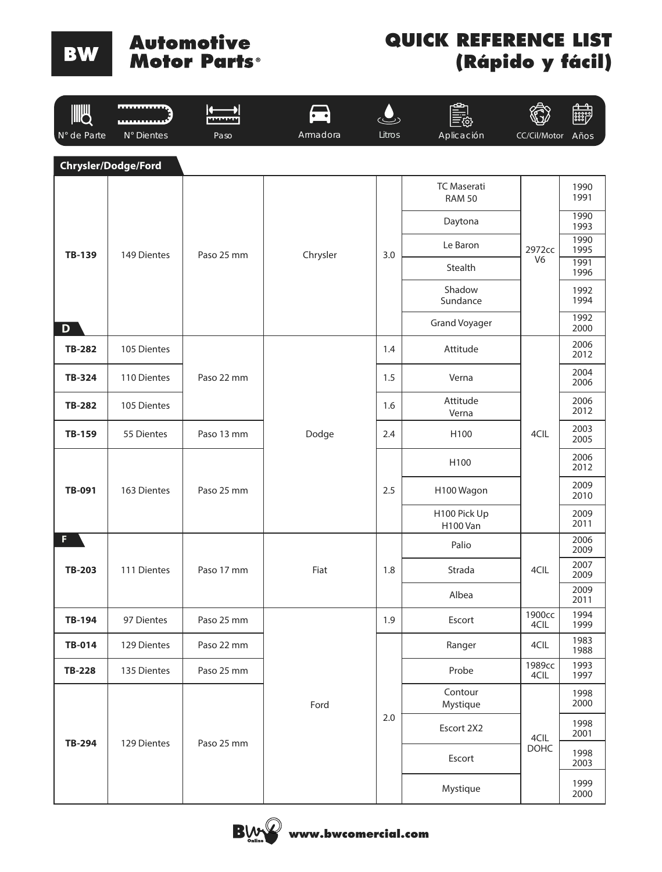# **Automotive<br>Motor Parts**®

| <b>IIIU</b>   |                     | $\leftarrow$<br><b>MIMMARIN</b> |          |        |                                     |                | <b>ESSER</b> |              |
|---------------|---------------------|---------------------------------|----------|--------|-------------------------------------|----------------|--------------|--------------|
| N° de Parte   | N° Dientes          | Paso                            | Armadora | Litros | Aplicación                          | CC/Cil/Motor   | Años         |              |
|               | Chrysler/Dodge/Ford |                                 |          |        |                                     |                |              |              |
|               |                     |                                 |          |        | <b>TC Maserati</b><br><b>RAM 50</b> |                | 1990<br>1991 |              |
|               |                     |                                 |          |        | Daytona                             |                | 1990<br>1993 |              |
| <b>TB-139</b> | 149 Dientes         | Paso 25 mm                      | Chrysler | 3.0    | Le Baron                            | 2972cc         | 1990<br>1995 |              |
|               |                     |                                 |          |        | Stealth                             | V <sub>6</sub> | 1991<br>1996 |              |
|               |                     |                                 |          |        | Shadow<br>Sundance                  |                | 1992<br>1994 |              |
| D             |                     |                                 |          |        | <b>Grand Voyager</b>                |                | 1992<br>2000 |              |
| <b>TB-282</b> | 105 Dientes         |                                 |          | 1.4    | Attitude                            |                | 2006<br>2012 |              |
| <b>TB-324</b> | 110 Dientes         | Paso 22 mm                      |          | 1.5    | Verna                               |                | 2004<br>2006 |              |
| <b>TB-282</b> | 105 Dientes         |                                 |          | 1.6    | Attitude<br>Verna                   |                | 2006<br>2012 |              |
| TB-159        | 55 Dientes          | Paso 13 mm                      | Dodge    | 2.4    | H100                                | 4CIL           | 2003<br>2005 |              |
|               | 163 Dientes         | Paso 25 mm                      |          |        | H100                                |                | 2006<br>2012 |              |
| <b>TB-091</b> |                     |                                 |          | 2.5    | H100 Wagon                          |                | 2009<br>2010 |              |
|               |                     |                                 |          |        | H100 Pick Up<br><b>H100 Van</b>     |                | 2009<br>2011 |              |
| F.            |                     |                                 |          | 1.8    |                                     | Palio          |              | 2006<br>2009 |
| <b>TB-203</b> | 111 Dientes         | Paso 17 mm                      | Fiat     |        | Strada                              | 4CIL           | 2007<br>2009 |              |
|               |                     |                                 |          |        | Albea                               |                | 2009<br>2011 |              |
| TB-194        | 97 Dientes          | Paso 25 mm                      |          | 1.9    | Escort                              | 1900cc<br>4CIL | 1994<br>1999 |              |
| TB-014        | 129 Dientes         | Paso 22 mm                      |          |        | Ranger                              | 4CIL           | 1983<br>1988 |              |
| <b>TB-228</b> | 135 Dientes         | Paso 25 mm                      |          |        | Probe                               | 1989cc<br>4CIL | 1993<br>1997 |              |
|               |                     |                                 | Ford     |        | Contour<br>Mystique                 |                | 1998<br>2000 |              |
|               |                     | 129 Dientes<br>Paso 25 mm       |          | 2.0    | Escort 2X2                          | 4CIL           | 1998<br>2001 |              |
| TB-294        |                     |                                 |          |        | Escort                              | <b>DOHC</b>    | 1998<br>2003 |              |
|               |                     |                                 |          |        |                                     | Mystique       |              | 1999<br>2000 |

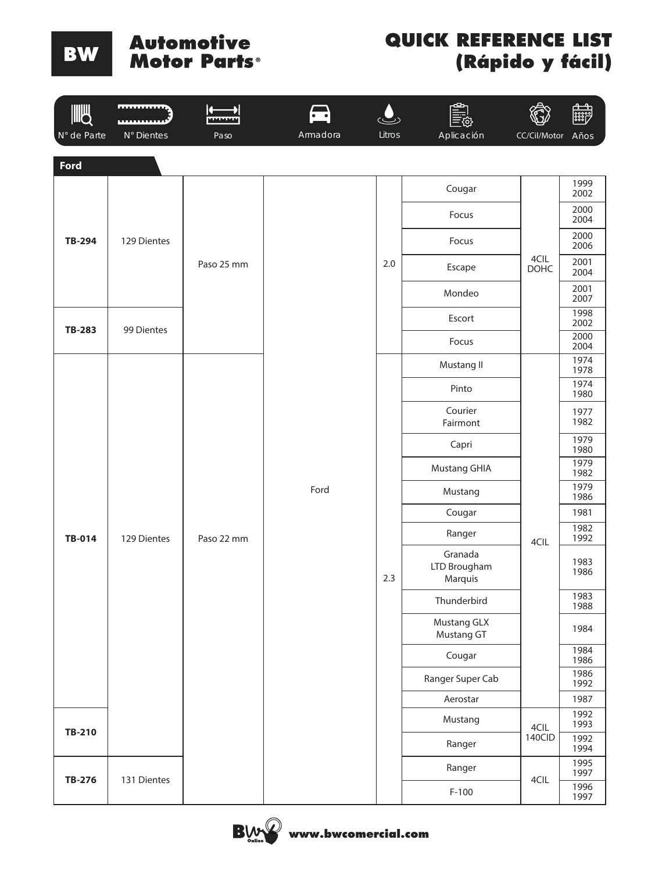# **Automotive<br>Motor Parts**®

| <b>IIIU</b>   | <b>moments</b> | Λ.<br>MAAAAA | $\cdot$ . |        |                                    |              | <b>and</b>   |
|---------------|----------------|--------------|-----------|--------|------------------------------------|--------------|--------------|
| N° de Parte   | N° Dientes     | Paso         | Armadora  | Litros | Aplicación                         | CC/Cil/Motor | Años         |
| Ford          |                |              |           |        |                                    |              |              |
|               |                |              |           |        | Cougar                             |              | 1999<br>2002 |
|               |                |              |           |        | Focus                              |              | 2000<br>2004 |
| <b>TB-294</b> | 129 Dientes    |              |           |        | Focus                              |              | 2000<br>2006 |
|               |                | Paso 25 mm   |           | 2.0    | Escape                             | 4CIL<br>DOHC | 2001<br>2004 |
|               |                |              |           |        | Mondeo                             |              | 2001<br>2007 |
|               |                |              |           |        | Escort                             |              | 1998<br>2002 |
| <b>TB-283</b> | 99 Dientes     |              |           |        | Focus                              |              | 2000<br>2004 |
|               |                |              |           | 2.3    | Mustang II                         |              | 1974<br>1978 |
|               |                |              |           |        | Pinto                              |              | 1974<br>1980 |
|               |                |              | Ford      |        | Courier<br>Fairmont                |              | 1977<br>1982 |
|               |                |              |           |        | Capri                              |              | 1979<br>1980 |
|               |                |              |           |        | <b>Mustang GHIA</b>                |              | 1979<br>1982 |
|               |                |              |           |        | Mustang                            |              | 1979<br>1986 |
|               |                |              |           |        | Cougar                             |              | 1981         |
| TB-014        | 129 Dientes    | Paso 22 mm   |           |        | Ranger                             | 4CIL         | 1982<br>1992 |
|               |                |              |           |        | Granada<br>LTD Brougham<br>Marquis |              | 1983<br>1986 |
|               |                |              |           |        | Thunderbird                        |              | 1983<br>1988 |
|               |                |              |           |        | Mustang GLX<br>Mustang GT          |              | 1984         |
|               |                |              |           |        | Cougar                             |              | 1984<br>1986 |
|               |                |              |           |        | Ranger Super Cab                   |              | 1986<br>1992 |
|               |                |              |           |        | Aerostar                           |              | 1987         |
| TB-210        |                |              |           |        | Mustang                            | 4CIL         | 1992<br>1993 |
|               |                |              |           |        | Ranger                             | 140CID       | 1992<br>1994 |
|               |                |              |           |        | Ranger                             |              | 1995<br>1997 |
| TB-276        | 131 Dientes    |              |           |        | $F-100$                            | 4CIL         | 1996<br>1997 |

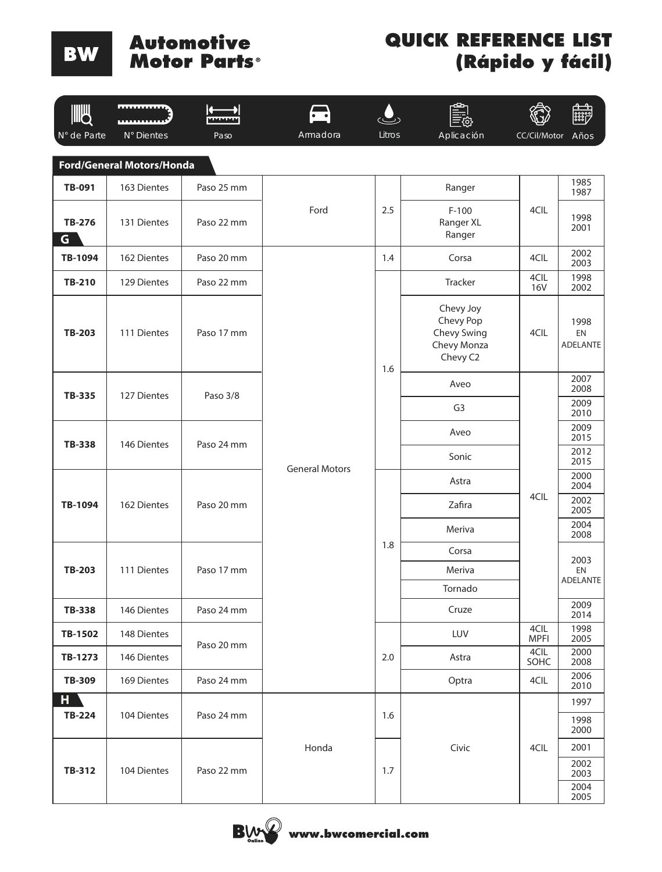**Automotive Motor Parts** 

BW

| <b>JUB</b>          | ***********                      | MAAAAAA    | $\overline{\bullet\quad \bullet}$ |        | رتاع                                                             |                     |                               |
|---------------------|----------------------------------|------------|-----------------------------------|--------|------------------------------------------------------------------|---------------------|-------------------------------|
| N° de Parte         | N° Dientes                       | Paso       | Armadora                          | Litros | Aplicación                                                       | CC/Cil/Motor        | Años                          |
|                     | <b>Ford/General Motors/Honda</b> |            |                                   |        |                                                                  |                     |                               |
| <b>TB-091</b>       | 163 Dientes                      | Paso 25 mm |                                   |        | Ranger                                                           |                     | 1985<br>1987                  |
| <b>TB-276</b><br>G. | 131 Dientes                      | Paso 22 mm | Ford                              | 2.5    | $F-100$<br>Ranger XL<br>Ranger                                   | 4CIL                | 1998<br>2001                  |
| TB-1094             | 162 Dientes                      | Paso 20 mm |                                   | 1.4    | Corsa                                                            | 4CIL                | 2002<br>2003                  |
| <b>TB-210</b>       | 129 Dientes                      | Paso 22 mm |                                   |        | Tracker                                                          | 4CIL<br><b>16V</b>  | 1998<br>2002                  |
| <b>TB-203</b>       | 111 Dientes                      | Paso 17 mm |                                   | 1.6    | Chevy Joy<br>Chevy Pop<br>Chevy Swing<br>Chevy Monza<br>Chevy C2 | 4CIL                | 1998<br>EN<br><b>ADELANTE</b> |
|                     |                                  |            |                                   |        | Aveo                                                             |                     | 2007<br>2008                  |
| <b>TB-335</b>       | 127 Dientes                      | Paso 3/8   |                                   |        |                                                                  | G <sub>3</sub>      |                               |
|                     |                                  |            |                                   |        | Aveo                                                             |                     | 2009<br>2015                  |
| <b>TB-338</b>       | 146 Dientes                      | Paso 24 mm |                                   |        | Sonic                                                            |                     | 2012<br>2015                  |
|                     |                                  |            | <b>General Motors</b>             |        | Astra                                                            |                     | 2000<br>2004                  |
| TB-1094             | 162 Dientes                      | Paso 20 mm |                                   |        | Zafira                                                           | 4CIL                | 2002<br>2005                  |
|                     |                                  |            |                                   |        | Meriva                                                           |                     | 2004<br>2008                  |
|                     |                                  |            |                                   | 1.8    | Corsa                                                            |                     | 2003                          |
| <b>TB-203</b>       | 111 Dientes                      | Paso 17 mm |                                   |        | Meriva                                                           |                     | EN<br><b>ADELANTE</b>         |
|                     |                                  |            |                                   |        | Tornado                                                          |                     |                               |
| <b>TB-338</b>       | 146 Dientes                      | Paso 24 mm |                                   |        | Cruze                                                            |                     | 2009<br>2014                  |
| TB-1502             | 148 Dientes                      | Paso 20 mm |                                   |        | LUV                                                              | 4CIL<br><b>MPFI</b> | 1998<br>2005                  |
| TB-1273             | 146 Dientes                      |            |                                   | 2.0    | Astra                                                            | 4CIL<br>SOHC        | 2000<br>2008                  |
| TB-309              | 169 Dientes                      | Paso 24 mm |                                   |        | Optra                                                            | 4CIL                | 2006<br>2010                  |
| $H^{\pm}$           |                                  |            |                                   |        |                                                                  |                     | 1997                          |
| <b>TB-224</b>       | 104 Dientes                      | Paso 24 mm |                                   | 1.6    |                                                                  |                     | 1998<br>2000                  |
|                     |                                  |            | Honda                             |        | Civic                                                            | 4CIL                | 2001                          |
| TB-312              | 104 Dientes                      | Paso 22 mm |                                   | 1.7    |                                                                  |                     | 2002<br>2003<br>2004<br>2005  |

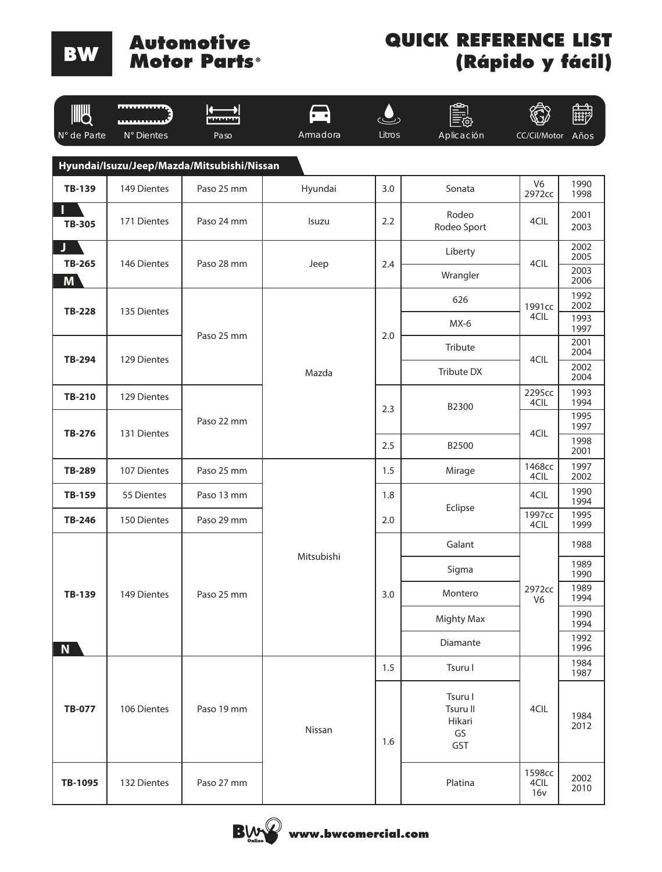# **Automotive<br>Motor Parts**®

| IIILL              | <b>ALLES AND ARTICLES</b> |                                            | $\cdot$ .  |        |                                            |                          | <b>First</b> |
|--------------------|---------------------------|--------------------------------------------|------------|--------|--------------------------------------------|--------------------------|--------------|
| N° de Parte        | N° Dientes                | Paso                                       | Armadora   | Litros | Aplicación                                 | CC/Cil/Motor             | Años         |
|                    |                           | Hyundai/Isuzu/Jeep/Mazda/Mitsubishi/Nissan |            |        |                                            |                          |              |
| <b>TB-139</b>      | 149 Dientes               | Paso 25 mm                                 | Hyundai    | 3.0    | Sonata                                     | V <sub>6</sub><br>2972cc | 1990<br>1998 |
| <b>TB-305</b>      | 171 Dientes               | Paso 24 mm                                 | Isuzu      | 2.2    | Rodeo<br>Rodeo Sport                       | 4CIL                     | 2001<br>2003 |
| J                  |                           |                                            |            |        | Liberty                                    |                          | 2002<br>2005 |
| <b>TB-265</b><br>M | 146 Dientes               | Paso 28 mm                                 | Jeep       | 2.4    | Wrangler                                   | 4CIL                     | 2003<br>2006 |
| <b>TB-228</b>      | 135 Dientes               |                                            |            |        | 626                                        | 1991cc                   | 1992<br>2002 |
|                    |                           |                                            |            |        | $MX-6$                                     | 4CIL                     | 1993<br>1997 |
| <b>TB-294</b>      | 129 Dientes               | Paso 25 mm                                 |            | 2.0    | Tribute                                    | 4CIL                     | 2001<br>2004 |
|                    |                           |                                            | Mazda      |        | Tribute DX                                 |                          | 2002<br>2004 |
| TB-210             | 129 Dientes               |                                            |            | 2.3    | B2300                                      | 2295cc<br>4CIL           | 1993<br>1994 |
| TB-276             | 131 Dientes               | Paso 22 mm                                 |            |        |                                            | 4CIL                     | 1995<br>1997 |
|                    |                           |                                            |            | 2.5    | B2500                                      |                          | 1998<br>2001 |
| <b>TB-289</b>      | 107 Dientes               | Paso 25 mm                                 |            | 1.5    | Mirage                                     | 1468cc<br>4CIL           | 1997<br>2002 |
| TB-159             | 55 Dientes                | Paso 13 mm                                 |            | 1.8    |                                            | 4CIL                     | 1990<br>1994 |
| TB-246             | 150 Dientes               | Paso 29 mm                                 |            | 2.0    | Eclipse                                    | 1997cc<br>4CIL           | 1995<br>1999 |
|                    |                           |                                            |            |        | Galant                                     |                          | 1988         |
|                    |                           |                                            | Mitsubishi |        | Sigma                                      |                          | 1989<br>1990 |
| TB-139             | 149 Dientes               | Paso 25 mm                                 |            | 3.0    | Montero                                    | 2972cc<br>V <sub>6</sub> | 1989<br>1994 |
|                    |                           |                                            |            |        | <b>Mighty Max</b>                          |                          | 1990<br>1994 |
| N                  |                           |                                            |            |        | Diamante                                   |                          | 1992<br>1996 |
|                    |                           |                                            |            | 1.5    | Tsuru I                                    |                          | 1984<br>1987 |
| <b>TB-077</b>      | 106 Dientes               | Paso 19 mm                                 | Nissan     | 1.6    | Tsuru I<br>Tsuru II<br>Hikari<br>GS<br>GST | 4CIL                     | 1984<br>2012 |
| TB-1095            | 132 Dientes               | Paso 27 mm                                 |            |        | Platina                                    | 1598cc<br>4CIL<br>16v    | 2002<br>2010 |

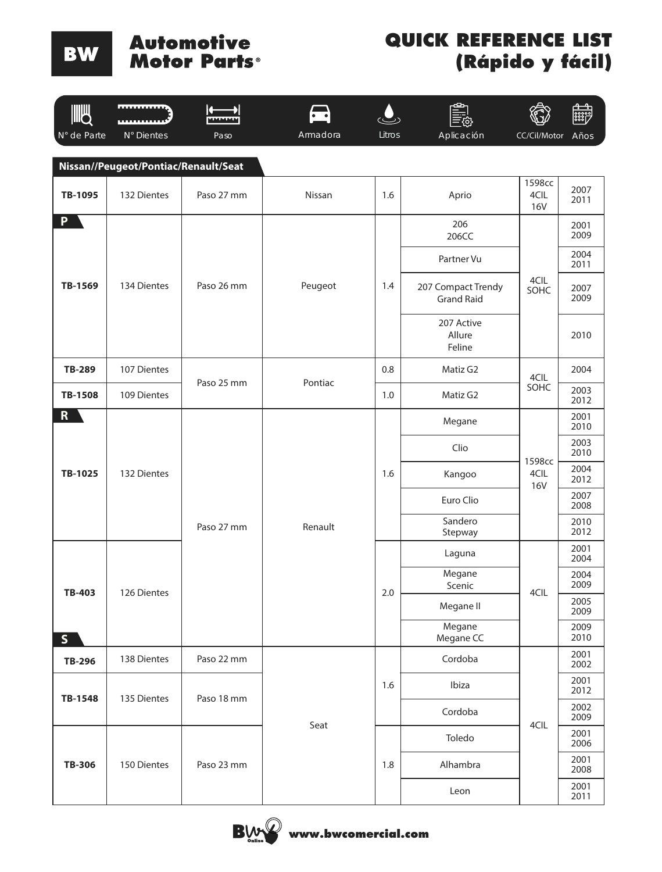# **Automotive<br>Motor Parts**®

| <b>JUB</b>     | <b></b>                              |            | $\cdot$ . |        |                                         |                              | <b>and</b>   |              |
|----------------|--------------------------------------|------------|-----------|--------|-----------------------------------------|------------------------------|--------------|--------------|
| N° de Parte    | N° Dientes                           | Paso       | Armadora  | Litros | Aplicación                              | CC/Cil/Motor                 | Años         |              |
|                | Nissan//Peugeot/Pontiac/Renault/Seat |            |           |        |                                         |                              |              |              |
| TB-1095        | 132 Dientes                          | Paso 27 mm | Nissan    | 1.6    | Aprio                                   | 1598cc<br>4CIL<br><b>16V</b> | 2007<br>2011 |              |
| <b>P</b>       |                                      |            |           |        | 206<br>206CC                            |                              | 2001<br>2009 |              |
|                |                                      |            |           |        | Partner Vu                              |                              | 2004<br>2011 |              |
| TB-1569        | 134 Dientes                          | Paso 26 mm | Peugeot   | 1.4    | 207 Compact Trendy<br><b>Grand Raid</b> | 4CIL<br>SOHC                 | 2007<br>2009 |              |
|                |                                      |            |           |        | 207 Active<br>Allure<br>Feline          |                              | 2010         |              |
| <b>TB-289</b>  | 107 Dientes                          | Paso 25 mm | Pontiac   | 0.8    | Matiz G2                                | 4CIL                         | 2004         |              |
| <b>TB-1508</b> | 109 Dientes                          |            |           | 1.0    | Matiz G2                                | SOHC                         | 2003<br>2012 |              |
| R              | 132 Dientes                          | Paso 27 mm | Renault   | 1.6    | Megane                                  |                              | 2001<br>2010 |              |
|                |                                      |            |           |        | Clio                                    | 1598cc                       | 2003<br>2010 |              |
| TB-1025        |                                      |            |           |        | Kangoo                                  | 4CIL<br><b>16V</b>           | 2004<br>2012 |              |
|                |                                      |            |           |        | Euro Clio                               | 4CIL                         | 2007<br>2008 |              |
|                |                                      |            |           |        | Sandero<br>Stepway                      |                              | 2010<br>2012 |              |
|                |                                      |            |           |        | Laguna                                  |                              | 2001<br>2004 |              |
| <b>TB-403</b>  | 126 Dientes                          |            |           |        | Megane<br>Scenic                        |                              | 2004<br>2009 |              |
|                |                                      |            |           | 2.0    | Megane II                               |                              | 2005<br>2009 |              |
| S              |                                      |            |           |        | Megane<br>Megane CC                     |                              | 2009<br>2010 |              |
| <b>TB-296</b>  | 138 Dientes                          | Paso 22 mm |           |        | Cordoba                                 |                              | 2001<br>2002 |              |
| TB-1548        | 135 Dientes                          | Paso 18 mm |           | 1.6    | Ibiza                                   |                              | 2001<br>2012 |              |
|                |                                      |            | Seat      |        | Cordoba                                 | 4CIL                         | 2002<br>2009 |              |
|                |                                      |            |           |        | Toledo                                  |                              | 2001<br>2006 |              |
| <b>TB-306</b>  | 150 Dientes                          | Paso 23 mm |           | 1.8    |                                         | Alhambra                     |              | 2001<br>2008 |
|                |                                      |            |           |        | Leon                                    |                              | 2001<br>2011 |              |

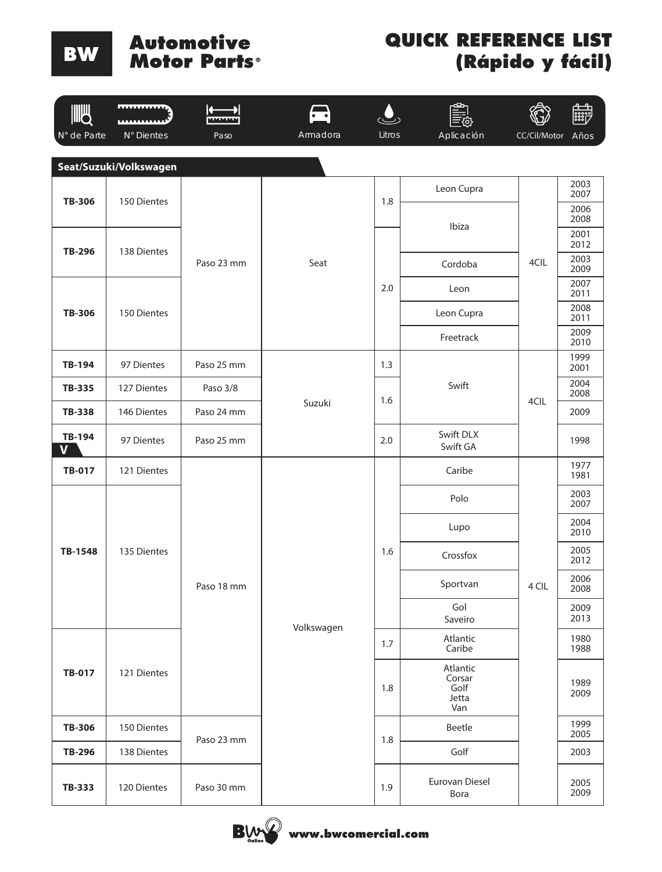# **Automotive<br>Motor Parts**®

| WW                     | <b>REPORT FOR THE 2</b> |            |            |        | o                                          |              | 體            |
|------------------------|-------------------------|------------|------------|--------|--------------------------------------------|--------------|--------------|
| N° de Parte            | N° Dientes              | Paso       | Armadora   | Litros | Aplicación                                 | CC/Cil/Motor | Años         |
|                        | Seat/Suzuki/Volkswagen  |            |            |        |                                            |              |              |
|                        |                         |            |            |        | Leon Cupra                                 |              | 2003<br>2007 |
| <b>TB-306</b>          | 150 Dientes             |            |            | 1.8    |                                            |              | 2006<br>2008 |
|                        |                         |            |            |        | Ibiza                                      |              | 2001<br>2012 |
| <b>TB-296</b>          | 138 Dientes             | Paso 23 mm | Seat       |        | Cordoba                                    | 4CIL         | 2003<br>2009 |
|                        |                         |            |            | 2.0    | Leon                                       |              | 2007<br>2011 |
| <b>TB-306</b>          | 150 Dientes             |            |            |        | Leon Cupra                                 |              | 2008<br>2011 |
|                        |                         |            |            |        | Freetrack                                  |              | 2009<br>2010 |
| TB-194                 | 97 Dientes              | Paso 25 mm |            | 1.3    |                                            |              | 1999<br>2001 |
| <b>TB-335</b>          | 127 Dientes             | Paso 3/8   |            | 1.6    | Swift                                      |              | 2004<br>2008 |
| <b>TB-338</b>          | 146 Dientes             | Paso 24 mm | Suzuki     |        |                                            | 4CIL         | 2009         |
| TB-194<br>$\mathbf{V}$ | 97 Dientes              | Paso 25 mm |            | 2.0    | Swift DLX<br>Swift GA                      |              | 1998         |
| TB-017                 | 121 Dientes             |            |            | 1.6    | Caribe                                     |              | 1977<br>1981 |
|                        |                         |            |            |        | Polo                                       |              | 2003<br>2007 |
|                        |                         |            |            |        | Lupo                                       |              | 2004<br>2010 |
| TB-1548                | 135 Dientes             |            |            |        | Crossfox                                   |              | 2005<br>2012 |
|                        |                         | Paso 18 mm |            |        | Sportvan                                   | 4 CIL        | 2006<br>2008 |
|                        |                         |            | Volkswagen |        | Gol<br>Saveiro                             |              | 2009<br>2013 |
|                        |                         |            |            | 1.7    | Atlantic<br>Caribe                         |              | 1980<br>1988 |
| <b>TB-017</b>          | 121 Dientes             |            |            | 1.8    | Atlantic<br>Corsar<br>Golf<br>Jetta<br>Van |              | 1989<br>2009 |
| <b>TB-306</b>          | 150 Dientes             | Paso 23 mm |            | 1.8    | Beetle                                     |              | 1999<br>2005 |
| TB-296                 | 138 Dientes             |            |            |        | Golf                                       |              | 2003         |
| TB-333                 | 120 Dientes             | Paso 30 mm |            | 1.9    | Eurovan Diesel<br>Bora                     |              | 2005<br>2009 |